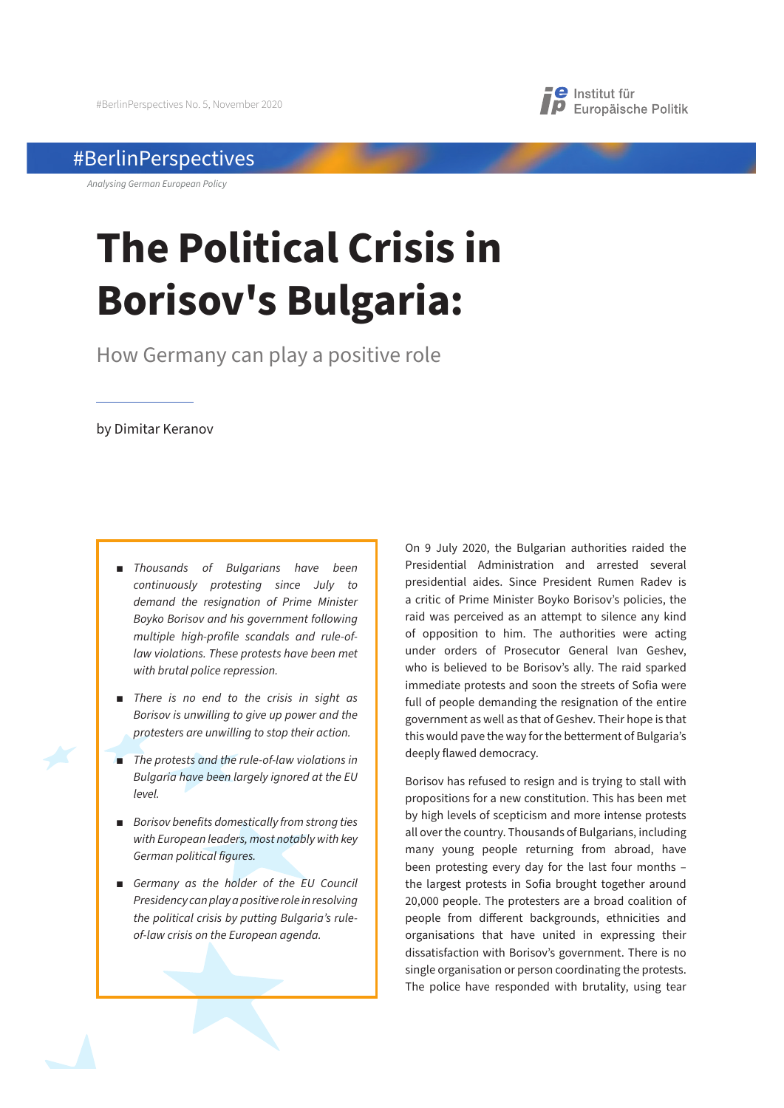

## #BerlinPerspectives

*Analysing German European Policy*

# **The Political Crisis in Borisov's Bulgaria:**

How Germany can play a positive role

by Dimitar Keranov

- **Thousands of Bulgarians have been** *continuously protesting since July to demand the resignation of Prime Minister Boyko Borisov and his government following multiple high-profile scandals and rule-oflaw violations. These protests have been met with brutal police repression.*
- **There is no end to the crisis in sight as** *Borisov is unwilling to give up power and the protesters are unwilling to stop their action.*
- **The protests and the rule-of-law violations in** *Bulgaria have been largely ignored at the EU level.*
- **Borisov benefits domestically from strong ties** *with European leaders, most notably with key German political figures.*
- $\blacksquare$  Germany as the holder of the EU Council *Presidency can play a positive role in resolving the political crisis by putting Bulgaria's ruleof-law crisis on the European agenda.*

On 9 July 2020, the Bulgarian authorities raided the Presidential Administration and arrested several presidential aides. Since President Rumen Radev is a critic of Prime Minister Boyko Borisov's policies, the raid was perceived as an attempt to silence any kind of opposition to him. The authorities were acting under orders of Prosecutor General Ivan Geshev, who is believed to be Borisov's ally. The raid sparked immediate protests and soon the streets of Sofia were full of people demanding the resignation of the entire government as well as that of Geshev. Their hope is that this would pave the way for the betterment of Bulgaria's deeply flawed democracy.

Borisov has refused to resign and is trying to stall with propositions for a new constitution. This has been met by high levels of scepticism and more intense protests all over the country. Thousands of Bulgarians, including many young people returning from abroad, have been protesting every day for the last four months – the largest protests in Sofia brought together around 20,000 people. The protesters are a broad coalition of people from different backgrounds, ethnicities and organisations that have united in expressing their dissatisfaction with Borisov's government. There is no single organisation or person coordinating the protests. The police have responded with brutality, using tear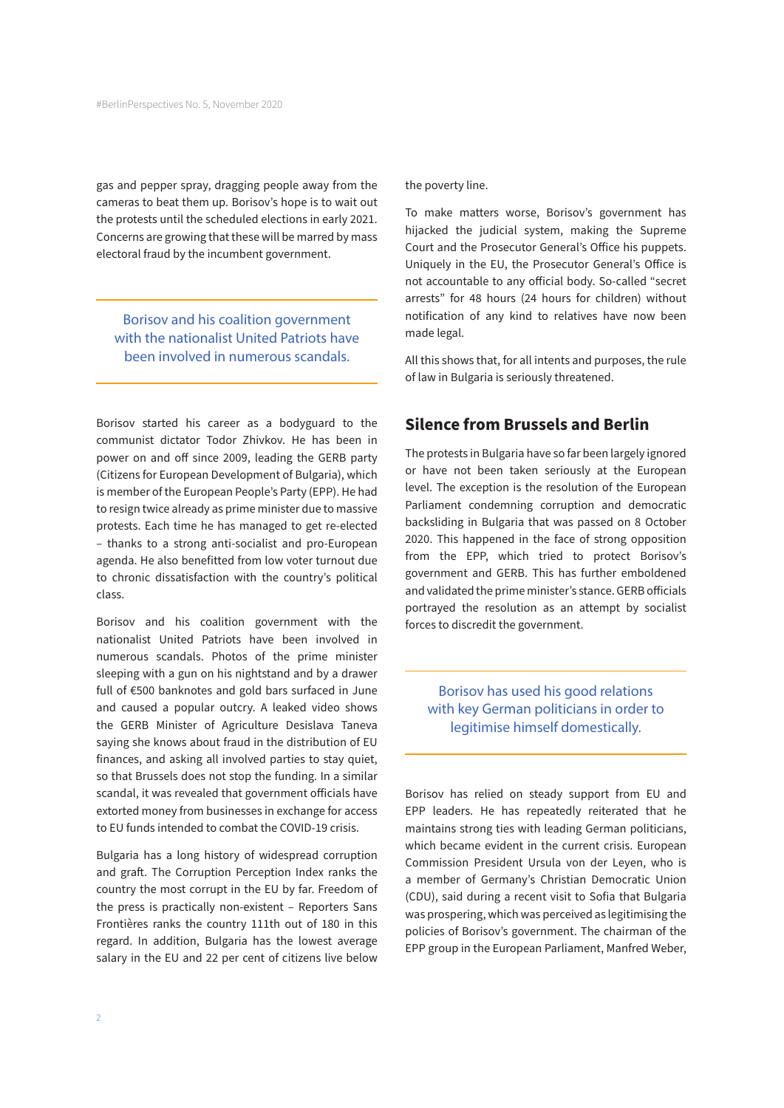gas and pepper spray, dragging people away from the cameras to beat them up. Borisov's hope is to wait out the protests until the scheduled elections in early 2021. Concerns are growing that these will be marred by mass electoral fraud by the incumbent government.

Borisov and his coalition government with the nationalist United Patriots have been involved in numerous scandals.

Borisov started his career as a bodyguard to the communist dictator Todor Zhivkov. He has been in power on and off since 2009, leading the GERB party (Citizens for European Development of Bulgaria), which is member of the European People's Party (EPP). He had to resign twice already as prime minister due to massive protests. Each time he has managed to get re-elected – thanks to a strong anti-socialist and pro-European agenda. He also benefitted from low voter turnout due to chronic dissatisfaction with the country's political class.

Borisov and his coalition government with the nationalist United Patriots have been involved in numerous scandals. Photos of the prime minister sleeping with a gun on his nightstand and by a drawer full of €500 banknotes and gold bars surfaced in June and caused a popular outcry. A leaked video shows the GERB Minister of Agriculture Desislava Taneva saying she knows about fraud in the distribution of EU finances, and asking all involved parties to stay quiet, so that Brussels does not stop the funding. In a similar scandal, it was revealed that government officials have extorted money from businesses in exchange for access to EU funds intended to combat the COVID-19 crisis.

Bulgaria has a long history of widespread corruption and graft. The Corruption Perception Index ranks the country the most corrupt in the EU by far. Freedom of the press is practically non-existent – Reporters Sans Frontières ranks the country 111th out of 180 in this regard. In addition, Bulgaria has the lowest average salary in the EU and 22 per cent of citizens live below

the poverty line.

To make matters worse, Borisov's government has hijacked the judicial system, making the Supreme Court and the Prosecutor General's Office his puppets. Uniquely in the EU, the Prosecutor General's Office is not accountable to any official body. So-called "secret arrests" for 48 hours (24 hours for children) without notification of any kind to relatives have now been made legal.

All this shows that, for all intents and purposes, the rule of law in Bulgaria is seriously threatened.

## **Silence from Brussels and Berlin**

The protests in Bulgaria have so far been largely ignored or have not been taken seriously at the European level. The exception is the resolution of the European Parliament condemning corruption and democratic backsliding in Bulgaria that was passed on 8 October 2020. This happened in the face of strong opposition from the EPP, which tried to protect Borisov's government and GERB. This has further emboldened and validated the prime minister's stance. GERB officials portrayed the resolution as an attempt by socialist forces to discredit the government.

Borisov has used his good relations with key German politicians in order to legitimise himself domestically.

Borisov has relied on steady support from EU and EPP leaders. He has repeatedly reiterated that he maintains strong ties with leading German politicians, which became evident in the current crisis. European Commission President Ursula von der Leyen, who is a member of Germany's Christian Democratic Union (CDU), said during a recent visit to Sofia that Bulgaria was prospering, which was perceived as legitimising the policies of Borisov's government. The chairman of the EPP group in the European Parliament, Manfred Weber,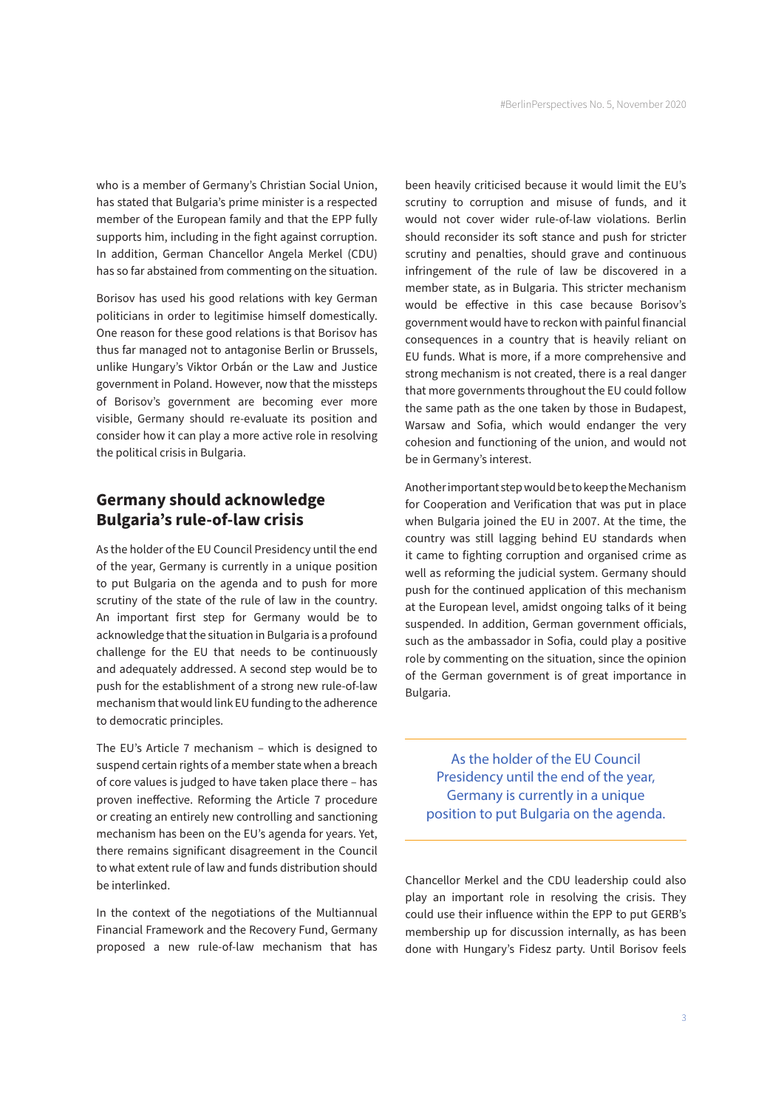who is a member of Germany's Christian Social Union, has stated that Bulgaria's prime minister is a respected member of the European family and that the EPP fully supports him, including in the fight against corruption. In addition, German Chancellor Angela Merkel (CDU) has so far abstained from commenting on the situation.

Borisov has used his good relations with key German politicians in order to legitimise himself domestically. One reason for these good relations is that Borisov has thus far managed not to antagonise Berlin or Brussels, unlike Hungary's Viktor Orbán or the Law and Justice government in Poland. However, now that the missteps of Borisov's government are becoming ever more visible, Germany should re-evaluate its position and consider how it can play a more active role in resolving the political crisis in Bulgaria.

## **Germany should acknowledge Bulgaria's rule-of-law crisis**

As the holder of the EU Council Presidency until the end of the year, Germany is currently in a unique position to put Bulgaria on the agenda and to push for more scrutiny of the state of the rule of law in the country. An important first step for Germany would be to acknowledge that the situation in Bulgaria is a profound challenge for the EU that needs to be continuously and adequately addressed. A second step would be to push for the establishment of a strong new rule-of-law mechanism that would link EU funding to the adherence to democratic principles.

The EU's Article 7 mechanism – which is designed to suspend certain rights of a member state when a breach of core values is judged to have taken place there – has proven ineffective. Reforming the Article 7 procedure or creating an entirely new controlling and sanctioning mechanism has been on the EU's agenda for years. Yet, there remains significant disagreement in the Council to what extent rule of law and funds distribution should be interlinked.

In the context of the negotiations of the Multiannual Financial Framework and the Recovery Fund, Germany proposed a new rule-of-law mechanism that has

been heavily criticised because it would limit the EU's scrutiny to corruption and misuse of funds, and it would not cover wider rule-of-law violations. Berlin should reconsider its soft stance and push for stricter scrutiny and penalties, should grave and continuous infringement of the rule of law be discovered in a member state, as in Bulgaria. This stricter mechanism would be effective in this case because Borisov's government would have to reckon with painful financial consequences in a country that is heavily reliant on EU funds. What is more, if a more comprehensive and strong mechanism is not created, there is a real danger that more governments throughout the EU could follow the same path as the one taken by those in Budapest, Warsaw and Sofia, which would endanger the very cohesion and functioning of the union, and would not be in Germany's interest.

Another important step would be to keep the Mechanism for Cooperation and Verification that was put in place when Bulgaria joined the EU in 2007. At the time, the country was still lagging behind EU standards when it came to fighting corruption and organised crime as well as reforming the judicial system. Germany should push for the continued application of this mechanism at the European level, amidst ongoing talks of it being suspended. In addition, German government officials, such as the ambassador in Sofia, could play a positive role by commenting on the situation, since the opinion of the German government is of great importance in Bulgaria.

As the holder of the EU Council Presidency until the end of the year, Germany is currently in a unique position to put Bulgaria on the agenda.

Chancellor Merkel and the CDU leadership could also play an important role in resolving the crisis. They could use their influence within the EPP to put GERB's membership up for discussion internally, as has been done with Hungary's Fidesz party. Until Borisov feels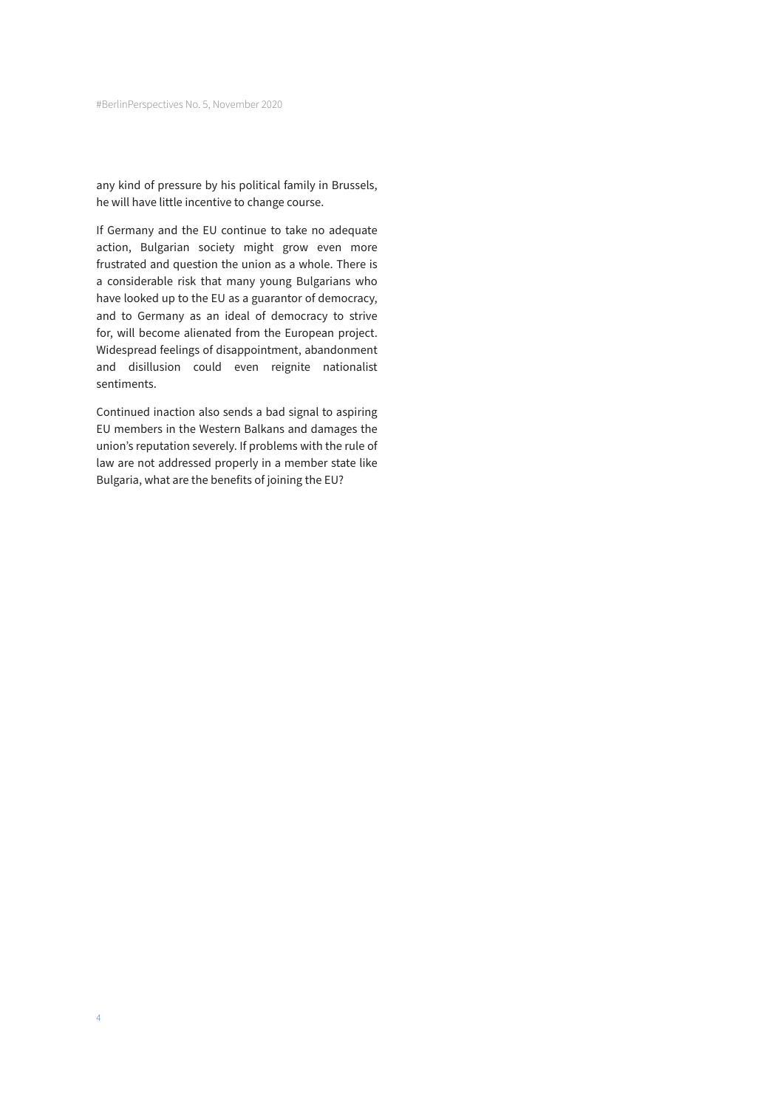any kind of pressure by his political family in Brussels, he will have little incentive to change course.

If Germany and the EU continue to take no adequate action, Bulgarian society might grow even more frustrated and question the union as a whole. There is a considerable risk that many young Bulgarians who have looked up to the EU as a guarantor of democracy, and to Germany as an ideal of democracy to strive for, will become alienated from the European project. Widespread feelings of disappointment, abandonment and disillusion could even reignite nationalist sentiments.

Continued inaction also sends a bad signal to aspiring EU members in the Western Balkans and damages the union's reputation severely. If problems with the rule of law are not addressed properly in a member state like Bulgaria, what are the benefits of joining the EU?